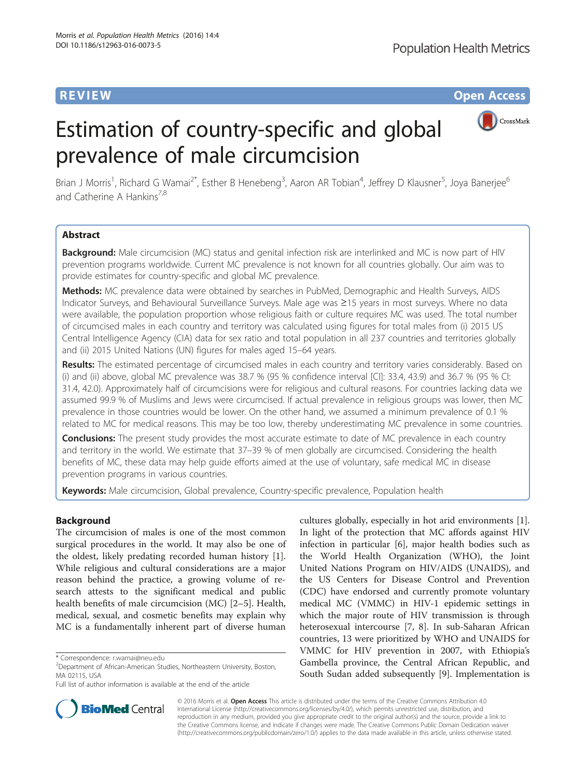**Population Health Metrics** 

**REVIEW CONSTRUCTION CONSTRUCTION CONSTRUCTS** 

# CrossMark

## Estimation of country-specific and global prevalence of male circumcision

Brian J Morris<sup>1</sup>, Richard G Wamai<sup>2\*</sup>, Esther B Henebeng<sup>3</sup>, Aaron AR Tobian<sup>4</sup>, Jeffrey D Klausner<sup>5</sup>, Joya Banerjee<sup>6</sup> and Catherine A Hankins<sup>7,8</sup>

#### Abstract

Background: Male circumcision (MC) status and genital infection risk are interlinked and MC is now part of HIV prevention programs worldwide. Current MC prevalence is not known for all countries globally. Our aim was to provide estimates for country-specific and global MC prevalence.

Methods: MC prevalence data were obtained by searches in PubMed, Demographic and Health Surveys, AIDS Indicator Surveys, and Behavioural Surveillance Surveys. Male age was ≥15 years in most surveys. Where no data were available, the population proportion whose religious faith or culture requires MC was used. The total number of circumcised males in each country and territory was calculated using figures for total males from (i) 2015 US Central Intelligence Agency (CIA) data for sex ratio and total population in all 237 countries and territories globally and (ii) 2015 United Nations (UN) figures for males aged 15–64 years.

Results: The estimated percentage of circumcised males in each country and territory varies considerably. Based on (i) and (ii) above, global MC prevalence was 38.7 % (95 % confidence interval [CI]: 33.4, 43.9) and 36.7 % (95 % CI: 31.4, 42.0). Approximately half of circumcisions were for religious and cultural reasons. For countries lacking data we assumed 99.9 % of Muslims and Jews were circumcised. If actual prevalence in religious groups was lower, then MC prevalence in those countries would be lower. On the other hand, we assumed a minimum prevalence of 0.1 % related to MC for medical reasons. This may be too low, thereby underestimating MC prevalence in some countries.

**Conclusions:** The present study provides the most accurate estimate to date of MC prevalence in each country and territory in the world. We estimate that 37–39 % of men globally are circumcised. Considering the health benefits of MC, these data may help guide efforts aimed at the use of voluntary, safe medical MC in disease prevention programs in various countries.

Keywords: Male circumcision, Global prevalence, Country-specific prevalence, Population health

#### Background

The circumcision of males is one of the most common surgical procedures in the world. It may also be one of the oldest, likely predating recorded human history [\[1](#page-8-0)]. While religious and cultural considerations are a major reason behind the practice, a growing volume of research attests to the significant medical and public health benefits of male circumcision (MC) [[2](#page-8-0)–[5\]](#page-8-0). Health, medical, sexual, and cosmetic benefits may explain why MC is a fundamentally inherent part of diverse human

cultures globally, especially in hot arid environments [\[1](#page-8-0)]. In light of the protection that MC affords against HIV infection in particular [\[6](#page-8-0)], major health bodies such as the World Health Organization (WHO), the Joint United Nations Program on HIV/AIDS (UNAIDS), and the US Centers for Disease Control and Prevention (CDC) have endorsed and currently promote voluntary medical MC (VMMC) in HIV-1 epidemic settings in which the major route of HIV transmission is through heterosexual intercourse [\[7](#page-8-0), [8\]](#page-8-0). In sub-Saharan African countries, 13 were prioritized by WHO and UNAIDS for VMMC for HIV prevention in 2007, with Ethiopia's Gambella province, the Central African Republic, and South Sudan added subsequently [\[9](#page-8-0)]. Implementation is



© 2016 Morris et al. Open Access This article is distributed under the terms of the Creative Commons Attribution 4.0 International License [\(http://creativecommons.org/licenses/by/4.0/](http://creativecommons.org/licenses/by/4.0/)), which permits unrestricted use, distribution, and reproduction in any medium, provided you give appropriate credit to the original author(s) and the source, provide a link to the Creative Commons license, and indicate if changes were made. The Creative Commons Public Domain Dedication waiver [\(http://creativecommons.org/publicdomain/zero/1.0/](http://creativecommons.org/publicdomain/zero/1.0/)) applies to the data made available in this article, unless otherwise stated.

<sup>\*</sup> Correspondence: [r.wamai@neu.edu](mailto:r.wamai@neu.edu) <sup>2</sup>

<sup>&</sup>lt;sup>2</sup>Department of African-American Studies, Northeastern University, Boston, MA 02115, USA

Full list of author information is available at the end of the article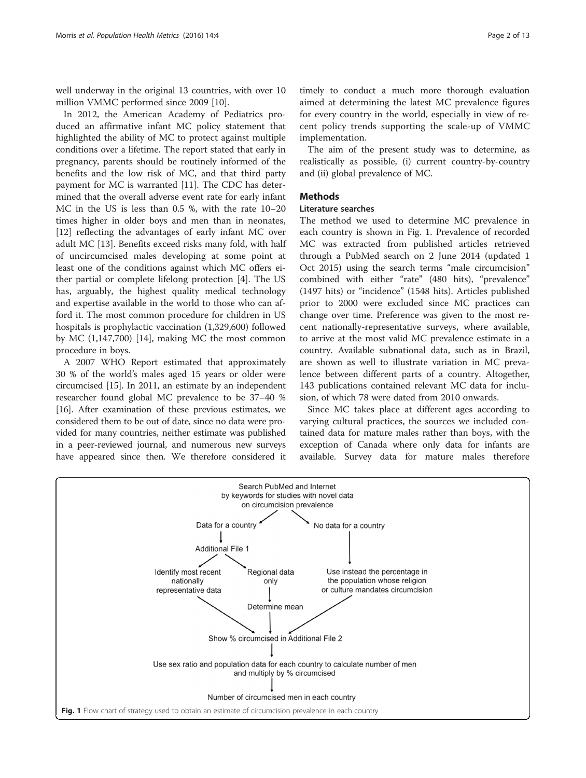well underway in the original 13 countries, with over 10 million VMMC performed since 2009 [\[10\]](#page-8-0).

In 2012, the American Academy of Pediatrics produced an affirmative infant MC policy statement that highlighted the ability of MC to protect against multiple conditions over a lifetime. The report stated that early in pregnancy, parents should be routinely informed of the benefits and the low risk of MC, and that third party payment for MC is warranted [\[11\]](#page-8-0). The CDC has determined that the overall adverse event rate for early infant MC in the US is less than 0.5 %, with the rate 10–20 times higher in older boys and men than in neonates, [[12\]](#page-8-0) reflecting the advantages of early infant MC over adult MC [\[13](#page-8-0)]. Benefits exceed risks many fold, with half of uncircumcised males developing at some point at least one of the conditions against which MC offers either partial or complete lifelong protection [\[4](#page-8-0)]. The US has, arguably, the highest quality medical technology and expertise available in the world to those who can afford it. The most common procedure for children in US hospitals is prophylactic vaccination (1,329,600) followed by MC (1,147,700) [\[14](#page-8-0)], making MC the most common procedure in boys.

A 2007 WHO Report estimated that approximately 30 % of the world's males aged 15 years or older were circumcised [\[15\]](#page-8-0). In 2011, an estimate by an independent researcher found global MC prevalence to be 37–40 % [[16](#page-8-0)]. After examination of these previous estimates, we considered them to be out of date, since no data were provided for many countries, neither estimate was published in a peer-reviewed journal, and numerous new surveys have appeared since then. We therefore considered it

timely to conduct a much more thorough evaluation aimed at determining the latest MC prevalence figures for every country in the world, especially in view of recent policy trends supporting the scale-up of VMMC implementation.

The aim of the present study was to determine, as realistically as possible, (i) current country-by-country and (ii) global prevalence of MC.

#### Methods

#### Literature searches

The method we used to determine MC prevalence in each country is shown in Fig. 1. Prevalence of recorded MC was extracted from published articles retrieved through a PubMed search on 2 June 2014 (updated 1 Oct 2015) using the search terms "male circumcision" combined with either "rate" (480 hits), "prevalence" (1497 hits) or "incidence" (1548 hits). Articles published prior to 2000 were excluded since MC practices can change over time. Preference was given to the most recent nationally-representative surveys, where available, to arrive at the most valid MC prevalence estimate in a country. Available subnational data, such as in Brazil, are shown as well to illustrate variation in MC prevalence between different parts of a country. Altogether, 143 publications contained relevant MC data for inclusion, of which 78 were dated from 2010 onwards.

Since MC takes place at different ages according to varying cultural practices, the sources we included contained data for mature males rather than boys, with the exception of Canada where only data for infants are available. Survey data for mature males therefore

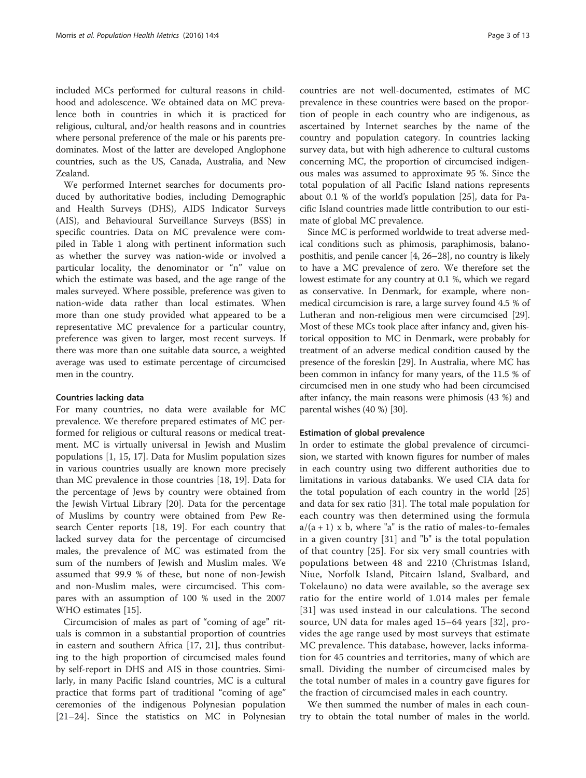included MCs performed for cultural reasons in childhood and adolescence. We obtained data on MC prevalence both in countries in which it is practiced for religious, cultural, and/or health reasons and in countries where personal preference of the male or his parents predominates. Most of the latter are developed Anglophone countries, such as the US, Canada, Australia, and New Zealand.

We performed Internet searches for documents produced by authoritative bodies, including Demographic and Health Surveys (DHS), AIDS Indicator Surveys (AIS), and Behavioural Surveillance Surveys (BSS) in specific countries. Data on MC prevalence were compiled in Table [1](#page-3-0) along with pertinent information such as whether the survey was nation-wide or involved a particular locality, the denominator or "n" value on which the estimate was based, and the age range of the males surveyed. Where possible, preference was given to nation-wide data rather than local estimates. When more than one study provided what appeared to be a representative MC prevalence for a particular country, preference was given to larger, most recent surveys. If there was more than one suitable data source, a weighted average was used to estimate percentage of circumcised men in the country.

#### Countries lacking data

For many countries, no data were available for MC prevalence. We therefore prepared estimates of MC performed for religious or cultural reasons or medical treatment. MC is virtually universal in Jewish and Muslim populations [[1, 15](#page-8-0), [17](#page-8-0)]. Data for Muslim population sizes in various countries usually are known more precisely than MC prevalence in those countries [\[18](#page-8-0), [19](#page-9-0)]. Data for the percentage of Jews by country were obtained from the Jewish Virtual Library [[20](#page-9-0)]. Data for the percentage of Muslims by country were obtained from Pew Research Center reports [[18,](#page-8-0) [19\]](#page-9-0). For each country that lacked survey data for the percentage of circumcised males, the prevalence of MC was estimated from the sum of the numbers of Jewish and Muslim males. We assumed that 99.9 % of these, but none of non-Jewish and non-Muslim males, were circumcised. This compares with an assumption of 100 % used in the 2007 WHO estimates [[15\]](#page-8-0).

Circumcision of males as part of "coming of age" rituals is common in a substantial proportion of countries in eastern and southern Africa [[17,](#page-8-0) [21](#page-9-0)], thus contributing to the high proportion of circumcised males found by self-report in DHS and AIS in those countries. Similarly, in many Pacific Island countries, MC is a cultural practice that forms part of traditional "coming of age" ceremonies of the indigenous Polynesian population [[21](#page-9-0)–[24](#page-9-0)]. Since the statistics on MC in Polynesian

countries are not well-documented, estimates of MC prevalence in these countries were based on the proportion of people in each country who are indigenous, as ascertained by Internet searches by the name of the country and population category. In countries lacking survey data, but with high adherence to cultural customs concerning MC, the proportion of circumcised indigenous males was assumed to approximate 95 %. Since the total population of all Pacific Island nations represents about 0.1 % of the world's population [[25\]](#page-9-0), data for Pacific Island countries made little contribution to our estimate of global MC prevalence.

Since MC is performed worldwide to treat adverse medical conditions such as phimosis, paraphimosis, balanoposthitis, and penile cancer [[4,](#page-8-0) [26](#page-9-0)–[28](#page-9-0)], no country is likely to have a MC prevalence of zero. We therefore set the lowest estimate for any country at 0.1 %, which we regard as conservative. In Denmark, for example, where nonmedical circumcision is rare, a large survey found 4.5 % of Lutheran and non-religious men were circumcised [[29](#page-9-0)]. Most of these MCs took place after infancy and, given historical opposition to MC in Denmark, were probably for treatment of an adverse medical condition caused by the presence of the foreskin [[29\]](#page-9-0). In Australia, where MC has been common in infancy for many years, of the 11.5 % of circumcised men in one study who had been circumcised after infancy, the main reasons were phimosis (43 %) and parental wishes (40 %) [[30](#page-9-0)].

#### Estimation of global prevalence

In order to estimate the global prevalence of circumcision, we started with known figures for number of males in each country using two different authorities due to limitations in various databanks. We used CIA data for the total population of each country in the world [[25](#page-9-0)] and data for sex ratio [[31](#page-9-0)]. The total male population for each country was then determined using the formula  $a/(a + 1)$  x b, where "a" is the ratio of males-to-females in a given country [[31\]](#page-9-0) and "b" is the total population of that country [[25](#page-9-0)]. For six very small countries with populations between 48 and 2210 (Christmas Island, Niue, Norfolk Island, Pitcairn Island, Svalbard, and Tokelauno) no data were available, so the average sex ratio for the entire world of 1.014 males per female [[31](#page-9-0)] was used instead in our calculations. The second source, UN data for males aged 15–64 years [\[32](#page-9-0)], provides the age range used by most surveys that estimate MC prevalence. This database, however, lacks information for 45 countries and territories, many of which are small. Dividing the number of circumcised males by the total number of males in a country gave figures for the fraction of circumcised males in each country.

We then summed the number of males in each country to obtain the total number of males in the world.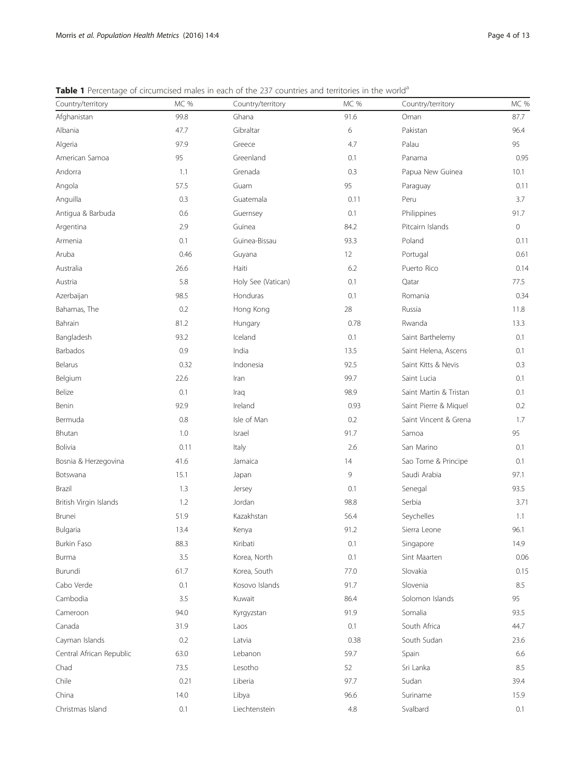<span id="page-3-0"></span>Table 1 Percentage of circumcised males in each of the 237 countries and territories in the world<sup>a</sup>

| Country/territory        | MC % | Country/territory  | MC %    | Country/territory      | MC %    |
|--------------------------|------|--------------------|---------|------------------------|---------|
| Afghanistan              | 99.8 | Ghana              | 91.6    | Oman                   | 87.7    |
| Albania                  | 47.7 | Gibraltar          | 6       | Pakistan               | 96.4    |
| Algeria                  | 97.9 | Greece             | 4.7     | Palau                  | 95      |
| American Samoa           | 95   | Greenland          | 0.1     | Panama                 | 0.95    |
| Andorra                  | 1.1  | Grenada            | 0.3     | Papua New Guinea       | 10.1    |
| Angola                   | 57.5 | Guam               | 95      | Paraguay               | 0.11    |
| Anguilla                 | 0.3  | Guatemala          | 0.11    | Peru                   | 3.7     |
| Antigua & Barbuda        | 0.6  | Guernsey           | 0.1     | Philippines            | 91.7    |
| Argentina                | 2.9  | Guinea             | 84.2    | Pitcairn Islands       | $\circ$ |
| Armenia                  | 0.1  | Guinea-Bissau      | 93.3    | Poland                 | 0.11    |
| Aruba                    | 0.46 | Guyana             | 12      | Portugal               | 0.61    |
| Australia                | 26.6 | Haiti              | 6.2     | Puerto Rico            | 0.14    |
| Austria                  | 5.8  | Holy See (Vatican) | 0.1     | Qatar                  | 77.5    |
| Azerbaijan               | 98.5 | Honduras           | 0.1     | Romania                | 0.34    |
| Bahamas, The             | 0.2  | Hong Kong          | 28      | Russia                 | 11.8    |
| Bahrain                  | 81.2 | Hungary            | 0.78    | Rwanda                 | 13.3    |
| Bangladesh               | 93.2 | Iceland            | 0.1     | Saint Barthelemy       | 0.1     |
| Barbados                 | 0.9  | India              | 13.5    | Saint Helena, Ascens   | 0.1     |
| Belarus                  | 0.32 | Indonesia          | 92.5    | Saint Kitts & Nevis    | 0.3     |
| Belgium                  | 22.6 | Iran               | 99.7    | Saint Lucia            | 0.1     |
| Belize                   | 0.1  | Iraq               | 98.9    | Saint Martin & Tristan | 0.1     |
| Benin                    | 92.9 | Ireland            | 0.93    | Saint Pierre & Miquel  | 0.2     |
| Bermuda                  | 0.8  | Isle of Man        | 0.2     | Saint Vincent & Grena  | 1.7     |
| Bhutan                   | 1.0  | Israel             | 91.7    | Samoa                  | 95      |
| Bolivia                  | 0.11 | Italy              | 2.6     | San Marino             | 0.1     |
| Bosnia & Herzegovina     | 41.6 | Jamaica            | 14      | Sao Tome & Principe    | 0.1     |
| Botswana                 | 15.1 | Japan              | 9       | Saudi Arabia           | 97.1    |
| <b>Brazil</b>            | 1.3  | Jersey             | 0.1     | Senegal                | 93.5    |
| British Virgin Islands   | 1.2  | Jordan             | 98.8    | Serbia                 | 3.71    |
| Brunei                   | 51.9 | Kazakhstan         | 56.4    | Seychelles             | 1.1     |
| Bulgaria                 | 13.4 | Kenya              | 91.2    | Sierra Leone           | 96.1    |
| <b>Burkin Faso</b>       | 88.3 | Kiribati           | 0.1     | Singapore              | 14.9    |
| Burma                    | 3.5  | Korea, North       | 0.1     | Sint Maarten           | 0.06    |
| Burundi                  | 61.7 | Korea, South       | 77.0    | Slovakia               | 0.15    |
| Cabo Verde               | 0.1  | Kosovo Islands     | 91.7    | Slovenia               | 8.5     |
| Cambodia                 | 3.5  | Kuwait             | 86.4    | Solomon Islands        | 95      |
| Cameroon                 | 94.0 | Kyrgyzstan         | 91.9    | Somalia                | 93.5    |
| Canada                   | 31.9 | Laos               | 0.1     | South Africa           | 44.7    |
| Cayman Islands           | 0.2  | Latvia             | 0.38    | South Sudan            | 23.6    |
| Central African Republic | 63.0 | Lebanon            | 59.7    | Spain                  | 6.6     |
| Chad                     | 73.5 | Lesotho            | 52      | Sri Lanka              | 8.5     |
| Chile                    | 0.21 | Liberia            | 97.7    | Sudan                  | 39.4    |
| China                    | 14.0 | Libya              | 96.6    | Suriname               | 15.9    |
| Christmas Island         | 0.1  | Liechtenstein      | $4.8\,$ | Svalbard               | 0.1     |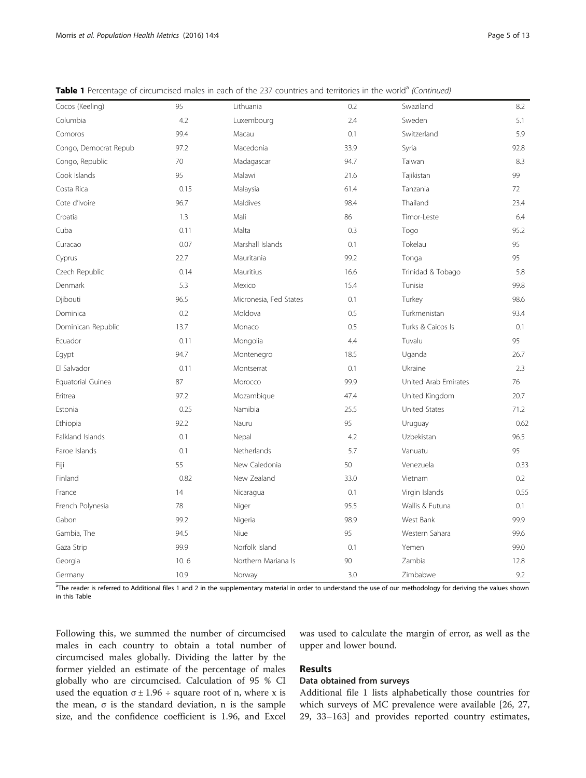| Cocos (Keeling)       | 95   | Lithuania              | 0.2  | Swaziland            | 8.2  |
|-----------------------|------|------------------------|------|----------------------|------|
| Columbia              | 4.2  | Luxembourg             | 2.4  | Sweden               | 5.1  |
| Comoros               | 99.4 | Macau                  | 0.1  | Switzerland          | 5.9  |
| Congo, Democrat Repub | 97.2 | Macedonia              | 33.9 | Syria                | 92.8 |
| Congo, Republic       | 70   | Madagascar             | 94.7 | Taiwan               | 8.3  |
| Cook Islands          | 95   | Malawi                 | 21.6 | Tajikistan           | 99   |
| Costa Rica            | 0.15 | Malaysia               | 61.4 | Tanzania             | 72   |
| Cote d'Ivoire         | 96.7 | Maldives               | 98.4 | Thailand             | 23.4 |
| Croatia               | 1.3  | Mali                   | 86   | Timor-Leste          | 6.4  |
| Cuba                  | 0.11 | Malta                  | 0.3  | Togo                 | 95.2 |
| Curacao               | 0.07 | Marshall Islands       | 0.1  | Tokelau              | 95   |
| Cyprus                | 22.7 | Mauritania             | 99.2 | Tonga                | 95   |
| Czech Republic        | 0.14 | Mauritius              | 16.6 | Trinidad & Tobago    | 5.8  |
| Denmark               | 5.3  | Mexico                 | 15.4 | Tunisia              | 99.8 |
| Djibouti              | 96.5 | Micronesia, Fed States | 0.1  | Turkey               | 98.6 |
| Dominica              | 0.2  | Moldova                | 0.5  | Turkmenistan         | 93.4 |
| Dominican Republic    | 13.7 | Monaco                 | 0.5  | Turks & Caicos Is    | 0.1  |
| Ecuador               | 0.11 | Mongolia               | 4.4  | Tuvalu               | 95   |
| Egypt                 | 94.7 | Montenegro             | 18.5 | Uganda               | 26.7 |
| El Salvador           | 0.11 | Montserrat             | 0.1  | Ukraine              | 2.3  |
| Equatorial Guinea     | 87   | Morocco                | 99.9 | United Arab Emirates | 76   |
| Eritrea               | 97.2 | Mozambique             | 47.4 | United Kingdom       | 20.7 |
| Estonia               | 0.25 | Namibia                | 25.5 | <b>United States</b> | 71.2 |
| Ethiopia              | 92.2 | Nauru                  | 95   | Uruguay              | 0.62 |
| Falkland Islands      | 0.1  | Nepal                  | 4.2  | Uzbekistan           | 96.5 |
| Faroe Islands         | 0.1  | Netherlands            | 5.7  | Vanuatu              | 95   |
| Fiji                  | 55   | New Caledonia          | 50   | Venezuela            | 0.33 |
| Finland               | 0.82 | New Zealand            | 33.0 | Vietnam              | 0.2  |
| France                | 14   | Nicaragua              | 0.1  | Virgin Islands       | 0.55 |
| French Polynesia      | 78   | Niger                  | 95.5 | Wallis & Futuna      | 0.1  |
| Gabon                 | 99.2 | Nigeria                | 98.9 | West Bank            | 99.9 |
| Gambia, The           | 94.5 | Niue                   | 95   | Western Sahara       | 99.6 |
| Gaza Strip            | 99.9 | Norfolk Island         | 0.1  | Yemen                | 99.0 |
| Georgia               | 10.6 | Northern Mariana Is    | 90   | Zambia               | 12.8 |
| Germany               | 10.9 | Norway                 | 3.0  | Zimbabwe             | 9.2  |

Table 1 Percentage of circumcised males in each of the 237 countries and territories in the world<sup>a</sup> (Continued)

<sup>a</sup>The reader is referred to Additional files [1](#page-8-0) and [2](#page-8-0) in the supplementary material in order to understand the use of our methodology for deriving the values shown in this Table

Following this, we summed the number of circumcised males in each country to obtain a total number of circumcised males globally. Dividing the latter by the former yielded an estimate of the percentage of males globally who are circumcised. Calculation of 95 % CI used the equation  $\sigma \pm 1.96 \div \text{s}$  square root of n, where x is the mean, σ is the standard deviation, n is the sample size, and the confidence coefficient is 1.96, and Excel was used to calculate the margin of error, as well as the upper and lower bound.

#### Results

#### Data obtained from surveys

Additional file [1](#page-8-0) lists alphabetically those countries for which surveys of MC prevalence were available [[26, 27](#page-9-0), [29, 33](#page-9-0)–[163\]](#page-11-0) and provides reported country estimates,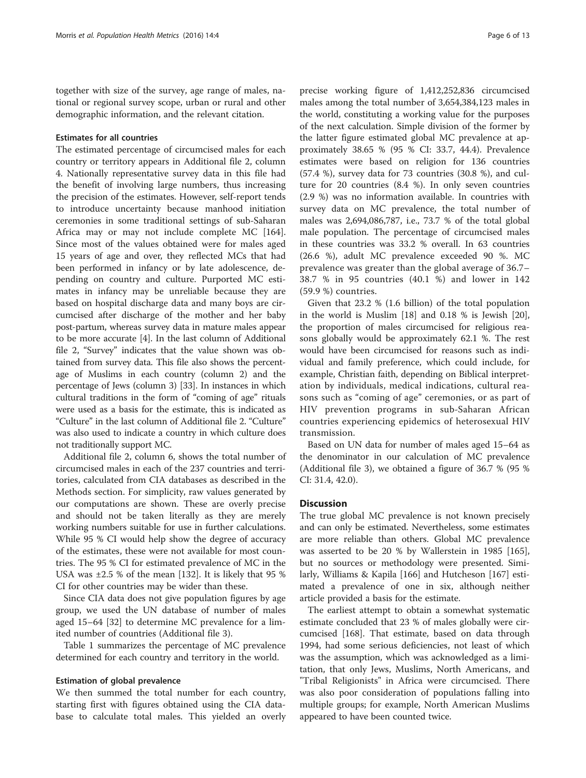together with size of the survey, age range of males, national or regional survey scope, urban or rural and other demographic information, and the relevant citation.

#### Estimates for all countries

The estimated percentage of circumcised males for each country or territory appears in Additional file [2](#page-8-0), column 4. Nationally representative survey data in this file had the benefit of involving large numbers, thus increasing the precision of the estimates. However, self-report tends to introduce uncertainty because manhood initiation ceremonies in some traditional settings of sub-Saharan Africa may or may not include complete MC [\[164](#page-11-0)]. Since most of the values obtained were for males aged 15 years of age and over, they reflected MCs that had been performed in infancy or by late adolescence, depending on country and culture. Purported MC estimates in infancy may be unreliable because they are based on hospital discharge data and many boys are circumcised after discharge of the mother and her baby post-partum, whereas survey data in mature males appear to be more accurate [\[4\]](#page-8-0). In the last column of Additional file [2](#page-8-0), "Survey" indicates that the value shown was obtained from survey data. This file also shows the percentage of Muslims in each country (column 2) and the percentage of Jews (column 3) [\[33\]](#page-9-0). In instances in which cultural traditions in the form of "coming of age" rituals were used as a basis for the estimate, this is indicated as "Culture" in the last column of Additional file [2](#page-8-0). "Culture" was also used to indicate a country in which culture does not traditionally support MC.

Additional file [2,](#page-8-0) column 6, shows the total number of circumcised males in each of the 237 countries and territories, calculated from CIA databases as described in the Methods section. For simplicity, raw values generated by our computations are shown. These are overly precise and should not be taken literally as they are merely working numbers suitable for use in further calculations. While 95 % CI would help show the degree of accuracy of the estimates, these were not available for most countries. The 95 % CI for estimated prevalence of MC in the USA was ±2.5 % of the mean [\[132](#page-11-0)]. It is likely that 95 % CI for other countries may be wider than these.

Since CIA data does not give population figures by age group, we used the UN database of number of males aged 15–64 [\[32\]](#page-9-0) to determine MC prevalence for a limited number of countries (Additional file [3](#page-8-0)).

Table [1](#page-3-0) summarizes the percentage of MC prevalence determined for each country and territory in the world.

#### Estimation of global prevalence

We then summed the total number for each country, starting first with figures obtained using the CIA database to calculate total males. This yielded an overly

precise working figure of 1,412,252,836 circumcised males among the total number of 3,654,384,123 males in the world, constituting a working value for the purposes of the next calculation. Simple division of the former by the latter figure estimated global MC prevalence at approximately 38.65 % (95 % CI: 33.7, 44.4). Prevalence estimates were based on religion for 136 countries (57.4 %), survey data for 73 countries (30.8 %), and culture for 20 countries (8.4 %). In only seven countries (2.9 %) was no information available. In countries with survey data on MC prevalence, the total number of males was 2,694,086,787, i.e., 73.7 % of the total global male population. The percentage of circumcised males in these countries was 33.2 % overall. In 63 countries (26.6 %), adult MC prevalence exceeded 90 %. MC prevalence was greater than the global average of 36.7– 38.7 % in 95 countries (40.1 %) and lower in 142 (59.9 %) countries.

Given that 23.2 % (1.6 billion) of the total population in the world is Muslim [\[18\]](#page-8-0) and 0.18 % is Jewish [\[20](#page-9-0)], the proportion of males circumcised for religious reasons globally would be approximately 62.1 %. The rest would have been circumcised for reasons such as individual and family preference, which could include, for example, Christian faith, depending on Biblical interpretation by individuals, medical indications, cultural reasons such as "coming of age" ceremonies, or as part of HIV prevention programs in sub-Saharan African countries experiencing epidemics of heterosexual HIV transmission.

Based on UN data for number of males aged 15–64 as the denominator in our calculation of MC prevalence (Additional file [3](#page-8-0)), we obtained a figure of 36.7 % (95 % CI: 31.4, 42.0).

#### **Discussion**

The true global MC prevalence is not known precisely and can only be estimated. Nevertheless, some estimates are more reliable than others. Global MC prevalence was asserted to be 20 % by Wallerstein in 1985 [[165](#page-12-0)], but no sources or methodology were presented. Similarly, Williams & Kapila [[166\]](#page-12-0) and Hutcheson [[167\]](#page-12-0) estimated a prevalence of one in six, although neither article provided a basis for the estimate.

The earliest attempt to obtain a somewhat systematic estimate concluded that 23 % of males globally were circumcised [[168\]](#page-12-0). That estimate, based on data through 1994, had some serious deficiencies, not least of which was the assumption, which was acknowledged as a limitation, that only Jews, Muslims, North Americans, and "Tribal Religionists" in Africa were circumcised. There was also poor consideration of populations falling into multiple groups; for example, North American Muslims appeared to have been counted twice.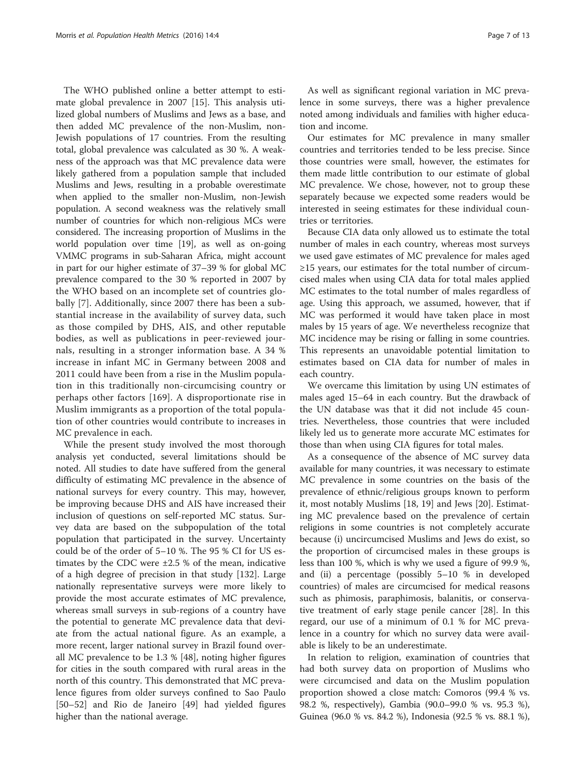The WHO published online a better attempt to estimate global prevalence in 2007 [[15\]](#page-8-0). This analysis utilized global numbers of Muslims and Jews as a base, and then added MC prevalence of the non-Muslim, non-Jewish populations of 17 countries. From the resulting total, global prevalence was calculated as 30 %. A weakness of the approach was that MC prevalence data were likely gathered from a population sample that included Muslims and Jews, resulting in a probable overestimate when applied to the smaller non-Muslim, non-Jewish population. A second weakness was the relatively small number of countries for which non-religious MCs were considered. The increasing proportion of Muslims in the world population over time [\[19](#page-9-0)], as well as on-going VMMC programs in sub-Saharan Africa, might account in part for our higher estimate of 37–39 % for global MC prevalence compared to the 30 % reported in 2007 by the WHO based on an incomplete set of countries globally [[7\]](#page-8-0). Additionally, since 2007 there has been a substantial increase in the availability of survey data, such as those compiled by DHS, AIS, and other reputable bodies, as well as publications in peer-reviewed journals, resulting in a stronger information base. A 34 % increase in infant MC in Germany between 2008 and 2011 could have been from a rise in the Muslim population in this traditionally non-circumcising country or perhaps other factors [[169\]](#page-12-0). A disproportionate rise in Muslim immigrants as a proportion of the total population of other countries would contribute to increases in MC prevalence in each.

While the present study involved the most thorough analysis yet conducted, several limitations should be noted. All studies to date have suffered from the general difficulty of estimating MC prevalence in the absence of national surveys for every country. This may, however, be improving because DHS and AIS have increased their inclusion of questions on self-reported MC status. Survey data are based on the subpopulation of the total population that participated in the survey. Uncertainty could be of the order of 5–10 %. The 95 % CI for US estimates by the CDC were ±2.5 % of the mean, indicative of a high degree of precision in that study [[132](#page-11-0)]. Large nationally representative surveys were more likely to provide the most accurate estimates of MC prevalence, whereas small surveys in sub-regions of a country have the potential to generate MC prevalence data that deviate from the actual national figure. As an example, a more recent, larger national survey in Brazil found overall MC prevalence to be 1.3 % [[48](#page-9-0)], noting higher figures for cities in the south compared with rural areas in the north of this country. This demonstrated that MC prevalence figures from older surveys confined to Sao Paulo [[50](#page-9-0)–[52](#page-9-0)] and Rio de Janeiro [[49](#page-9-0)] had yielded figures higher than the national average.

As well as significant regional variation in MC prevalence in some surveys, there was a higher prevalence noted among individuals and families with higher education and income.

Our estimates for MC prevalence in many smaller countries and territories tended to be less precise. Since those countries were small, however, the estimates for them made little contribution to our estimate of global MC prevalence. We chose, however, not to group these separately because we expected some readers would be interested in seeing estimates for these individual countries or territories.

Because CIA data only allowed us to estimate the total number of males in each country, whereas most surveys we used gave estimates of MC prevalence for males aged ≥15 years, our estimates for the total number of circumcised males when using CIA data for total males applied MC estimates to the total number of males regardless of age. Using this approach, we assumed, however, that if MC was performed it would have taken place in most males by 15 years of age. We nevertheless recognize that MC incidence may be rising or falling in some countries. This represents an unavoidable potential limitation to estimates based on CIA data for number of males in each country.

We overcame this limitation by using UN estimates of males aged 15–64 in each country. But the drawback of the UN database was that it did not include 45 countries. Nevertheless, those countries that were included likely led us to generate more accurate MC estimates for those than when using CIA figures for total males.

As a consequence of the absence of MC survey data available for many countries, it was necessary to estimate MC prevalence in some countries on the basis of the prevalence of ethnic/religious groups known to perform it, most notably Muslims [\[18](#page-8-0), [19](#page-9-0)] and Jews [\[20](#page-9-0)]. Estimating MC prevalence based on the prevalence of certain religions in some countries is not completely accurate because (i) uncircumcised Muslims and Jews do exist, so the proportion of circumcised males in these groups is less than 100 %, which is why we used a figure of 99.9 %, and (ii) a percentage (possibly 5–10 % in developed countries) of males are circumcised for medical reasons such as phimosis, paraphimosis, balanitis, or conservative treatment of early stage penile cancer [\[28](#page-9-0)]. In this regard, our use of a minimum of 0.1 % for MC prevalence in a country for which no survey data were available is likely to be an underestimate.

In relation to religion, examination of countries that had both survey data on proportion of Muslims who were circumcised and data on the Muslim population proportion showed a close match: Comoros (99.4 % vs. 98.2 %, respectively), Gambia (90.0–99.0 % vs. 95.3 %), Guinea (96.0 % vs. 84.2 %), Indonesia (92.5 % vs. 88.1 %),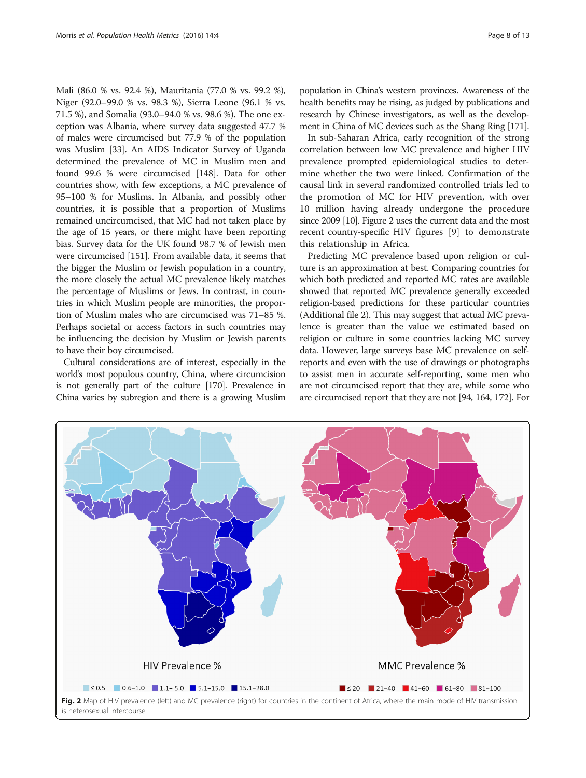<span id="page-7-0"></span>Mali (86.0 % vs. 92.4 %), Mauritania (77.0 % vs. 99.2 %), Niger (92.0–99.0 % vs. 98.3 %), Sierra Leone (96.1 % vs. 71.5 %), and Somalia (93.0–94.0 % vs. 98.6 %). The one exception was Albania, where survey data suggested 47.7 % of males were circumcised but 77.9 % of the population was Muslim [\[33\]](#page-9-0). An AIDS Indicator Survey of Uganda determined the prevalence of MC in Muslim men and found 99.6 % were circumcised [\[148\]](#page-11-0). Data for other countries show, with few exceptions, a MC prevalence of 95–100 % for Muslims. In Albania, and possibly other countries, it is possible that a proportion of Muslims remained uncircumcised, that MC had not taken place by the age of 15 years, or there might have been reporting bias. Survey data for the UK found 98.7 % of Jewish men were circumcised [[151](#page-11-0)]. From available data, it seems that the bigger the Muslim or Jewish population in a country, the more closely the actual MC prevalence likely matches the percentage of Muslims or Jews. In contrast, in countries in which Muslim people are minorities, the proportion of Muslim males who are circumcised was 71–85 %. Perhaps societal or access factors in such countries may be influencing the decision by Muslim or Jewish parents to have their boy circumcised.

Cultural considerations are of interest, especially in the world's most populous country, China, where circumcision is not generally part of the culture [[170\]](#page-12-0). Prevalence in China varies by subregion and there is a growing Muslim

population in China's western provinces. Awareness of the health benefits may be rising, as judged by publications and research by Chinese investigators, as well as the development in China of MC devices such as the Shang Ring [\[171\]](#page-12-0).

In sub-Saharan Africa, early recognition of the strong correlation between low MC prevalence and higher HIV prevalence prompted epidemiological studies to determine whether the two were linked. Confirmation of the causal link in several randomized controlled trials led to the promotion of MC for HIV prevention, with over 10 million having already undergone the procedure since 2009 [\[10\]](#page-8-0). Figure 2 uses the current data and the most recent country-specific HIV figures [\[9](#page-8-0)] to demonstrate this relationship in Africa.

Predicting MC prevalence based upon religion or culture is an approximation at best. Comparing countries for which both predicted and reported MC rates are available showed that reported MC prevalence generally exceeded religion-based predictions for these particular countries (Additional file [2\)](#page-8-0). This may suggest that actual MC prevalence is greater than the value we estimated based on religion or culture in some countries lacking MC survey data. However, large surveys base MC prevalence on selfreports and even with the use of drawings or photographs to assist men in accurate self-reporting, some men who are not circumcised report that they are, while some who are circumcised report that they are not [\[94,](#page-10-0) [164,](#page-11-0) [172](#page-12-0)]. For

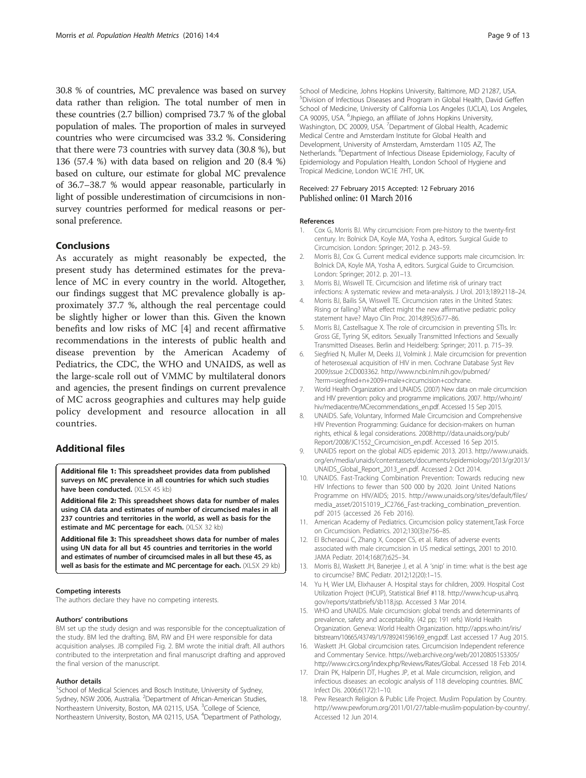<span id="page-8-0"></span>30.8 % of countries, MC prevalence was based on survey data rather than religion. The total number of men in these countries (2.7 billion) comprised 73.7 % of the global population of males. The proportion of males in surveyed countries who were circumcised was 33.2 %. Considering that there were 73 countries with survey data (30.8 %), but 136 (57.4 %) with data based on religion and 20 (8.4 %) based on culture, our estimate for global MC prevalence of 36.7–38.7 % would appear reasonable, particularly in light of possible underestimation of circumcisions in nonsurvey countries performed for medical reasons or personal preference.

#### Conclusions

As accurately as might reasonably be expected, the present study has determined estimates for the prevalence of MC in every country in the world. Altogether, our findings suggest that MC prevalence globally is approximately 37.7 %, although the real percentage could be slightly higher or lower than this. Given the known benefits and low risks of MC [4] and recent affirmative recommendations in the interests of public health and disease prevention by the American Academy of Pediatrics, the CDC, the WHO and UNAIDS, as well as the large-scale roll out of VMMC by multilateral donors and agencies, the present findings on current prevalence of MC across geographies and cultures may help guide policy development and resource allocation in all countries.

#### Additional files

[Additional file 1:](dx.doi.org/10.1186/s12963-016-0073-5) This spreadsheet provides data from published surveys on MC prevalence in all countries for which such studies have been conducted. (XLSX 45 kb)

[Additional file 2:](dx.doi.org/10.1186/s12963-016-0073-5) This spreadsheet shows data for number of males using CIA data and estimates of number of circumcised males in all 237 countries and territories in the world, as well as basis for the estimate and MC percentage for each. (XLSX 32 kb)

[Additional file 3:](dx.doi.org/10.1186/s12963-016-0073-5) This spreadsheet shows data for number of males using UN data for all but 45 countries and territories in the world and estimates of number of circumcised males in all but these 45, as well as basis for the estimate and MC percentage for each. (XLSX 29 kb)

#### Competing interests

The authors declare they have no competing interests.

#### Authors' contributions

BM set up the study design and was responsible for the conceptualization of the study. BM led the drafting. BM, RW and EH were responsible for data acquisition analyses. JB compiled Fig. [2.](#page-7-0) BM wrote the initial draft. All authors contributed to the interpretation and final manuscript drafting and approved the final version of the manuscript.

#### Author details

<sup>1</sup>School of Medical Sciences and Bosch Institute, University of Sydney, Sydney, NSW 2006, Australia. <sup>2</sup>Department of African-American Studies, Northeastern University, Boston, MA 02115, USA. <sup>3</sup>College of Science, Northeastern University, Boston, MA 02115, USA. <sup>4</sup>Department of Pathology,

School of Medicine, Johns Hopkins University, Baltimore, MD 21287, USA. 5 Division of Infectious Diseases and Program in Global Health, David Geffen School of Medicine, University of California Los Angeles (UCLA), Los Angeles, CA 90095, USA. <sup>6</sup>Jhpiego, an affiliate of Johns Hopkins University, Washington, DC 20009, USA. <sup>7</sup>Department of Global Health, Academic Medical Centre and Amsterdam Institute for Global Health and Development, University of Amsterdam, Amsterdam 1105 AZ, The Netherlands. <sup>8</sup>Department of Infectious Disease Epidemiology, Faculty of Epidemiology and Population Health, London School of Hygiene and Tropical Medicine, London WC1E 7HT, UK.

### Received: 27 February 2015 Accepted: 12 February 2016<br>Published online: 01 March 2016

#### References

- 1. Cox G, Morris BJ. Why circumcision: From pre-history to the twenty-first century. In: Bolnick DA, Koyle MA, Yosha A, editors. Surgical Guide to Circumcision. London: Springer; 2012. p. 243–59.
- 2. Morris BJ, Cox G. Current medical evidence supports male circumcision. In: Bolnick DA, Koyle MA, Yosha A, editors. Surgical Guide to Circumcision. London: Springer; 2012. p. 201–13.
- 3. Morris BJ, Wiswell TE. Circumcision and lifetime risk of urinary tract infections: A systematic review and meta-analysis. J Urol. 2013;189:2118–24.
- 4. Morris BJ, Bailis SA, Wiswell TE. Circumcision rates in the United States: Rising or falling? What effect might the new affirmative pediatric policy statement have? Mayo Clin Proc. 2014;89(5):677–86.
- 5. Morris BJ, Castellsague X. The role of circumcision in preventing STIs. In: Gross GE, Tyring SK, editors. Sexually Transmitted Infections and Sexually Transmitted Diseases. Berlin and Heidelberg: Springer; 2011. p. 715–39.
- 6. Siegfried N, Muller M, Deeks JJ, Volmink J. Male circumcision for prevention of heterosexual acquisition of HIV in men. Cochrane Database Syst Rev 2009;Issue 2:CD003362. [http://www.ncbi.nlm.nih.gov/pubmed/](http://www.ncbi.nlm.nih.gov/pubmed/?term=siegfried+n+2009+male+circumcision+cochrane) [?term=siegfried+n+2009+male+circumcision+cochrane](http://www.ncbi.nlm.nih.gov/pubmed/?term=siegfried+n+2009+male+circumcision+cochrane).
- 7. World Health Organization and UNAIDS. (2007) New data on male circumcision and HIV prevention: policy and programme implications. 2007. [http://who.int/](http://who.int/hiv/mediacentre/MCrecommendations_en.pdf) [hiv/mediacentre/MCrecommendations\\_en.pdf.](http://who.int/hiv/mediacentre/MCrecommendations_en.pdf) Accessed 15 Sep 2015.
- 8. UNAIDS. Safe, Voluntary, Informed Male Circumcision and Comprehensive HIV Prevention Programming: Guidance for decision-makers on human rights, ethical & legal considerations. 2008:[http://data.unaids.org/pub/](http://data.unaids.org/pub/Report/2008/JC1552_Circumcision_en.pdf) [Report/2008/JC1552\\_Circumcision\\_en.pdf.](http://data.unaids.org/pub/Report/2008/JC1552_Circumcision_en.pdf) Accessed 16 Sep 2015.
- 9. UNAIDS report on the global AIDS epidemic 2013. 2013. [http://www.unaids.](http://www.unaids.org/en/media/unaids/contentassets/documents/epidemiology/2013/gr2013/UNAIDS_Global_Report_2013_en.pdf) [org/en/media/unaids/contentassets/documents/epidemiology/2013/gr2013/](http://www.unaids.org/en/media/unaids/contentassets/documents/epidemiology/2013/gr2013/UNAIDS_Global_Report_2013_en.pdf) [UNAIDS\\_Global\\_Report\\_2013\\_en.pdf](http://www.unaids.org/en/media/unaids/contentassets/documents/epidemiology/2013/gr2013/UNAIDS_Global_Report_2013_en.pdf). Accessed 2 Oct 2014.
- 10. UNAIDS. Fast-Tracking Combination Prevention: Towards reducing new HIV Infections to fewer than 500 000 by 2020. Joint United Nations Programme on HIV/AIDS; 2015. [http://www.unaids.org/sites/default/files/](http://www.unaids.org/sites/default/files/media_asset/20151019_JC2766_Fast-tracking_combination_prevention.pdf) [media\\_asset/20151019\\_JC2766\\_Fast-tracking\\_combination\\_prevention.](http://www.unaids.org/sites/default/files/media_asset/20151019_JC2766_Fast-tracking_combination_prevention.pdf) [pdf](http://www.unaids.org/sites/default/files/media_asset/20151019_JC2766_Fast-tracking_combination_prevention.pdf) 2015 (accessed 26 Feb 2016).
- 11. American Academy of Pediatrics. Circumcision policy statement,Task Force on Circumcision. Pediatrics. 2012;130(3):e756–85.
- 12. El Bcheraoui C, Zhang X, Cooper CS, et al. Rates of adverse events associated with male circumcision in US medical settings, 2001 to 2010. JAMA Pediatr. 2014;168(7):625–34.
- 13. Morris BJ, Waskett JH, Banerjee J, et al. A 'snip' in time: what is the best age to circumcise? BMC Pediatr. 2012;12(20):1–15.
- 14. Yu H, Wier LM, Elixhauser A. Hospital stays for children, 2009. Hospital Cost Utilization Project (HCUP), Statistical Brief #118. [http://www.hcup-us.ahrq.](http://www.hcup-us.ahrq.gov/reports/statbriefs/sb118.jsp) [gov/reports/statbriefs/sb118.jsp.](http://www.hcup-us.ahrq.gov/reports/statbriefs/sb118.jsp) Accessed 3 Mar 2014.
- 15. WHO and UNAIDS. Male circumcision: global trends and determinants of prevalence, safety and acceptability. (42 pp; 191 refs) World Health Organization. Geneva: World Health Organization. [http://apps.who.int/iris/](http://apps.who.int/iris/bitstream/10665/43749/1/9789241596169_eng.pdf) [bitstream/10665/43749/1/9789241596169\\_eng.pdf.](http://apps.who.int/iris/bitstream/10665/43749/1/9789241596169_eng.pdf) Last accessed 17 Aug 2015.
- 16. Waskett JH. Global circumcision rates. Circumcision Independent reference and Commentary Service. [https://web.archive.org/web/20120805153305/](https://web.archive.org/web/20120805153305/http://www.circs.org/index.php/Reviews/Rates/Global) [http://www.circs.org/index.php/Reviews/Rates/Global.](https://web.archive.org/web/20120805153305/http://www.circs.org/index.php/Reviews/Rates/Global) Accessed 18 Feb 2014.
- 17. Drain PK, Halperin DT, Hughes JP, et al. Male circumcision, religion, and infectious diseases: an ecologic analysis of 118 developing countries. BMC Infect Dis. 2006;6(172):1–10.
- 18. Pew Research Religion & Public Life Project. Muslim Population by Country. <http://www.pewforum.org/2011/01/27/table-muslim-population-by-country/>. Accessed 12 Jun 2014.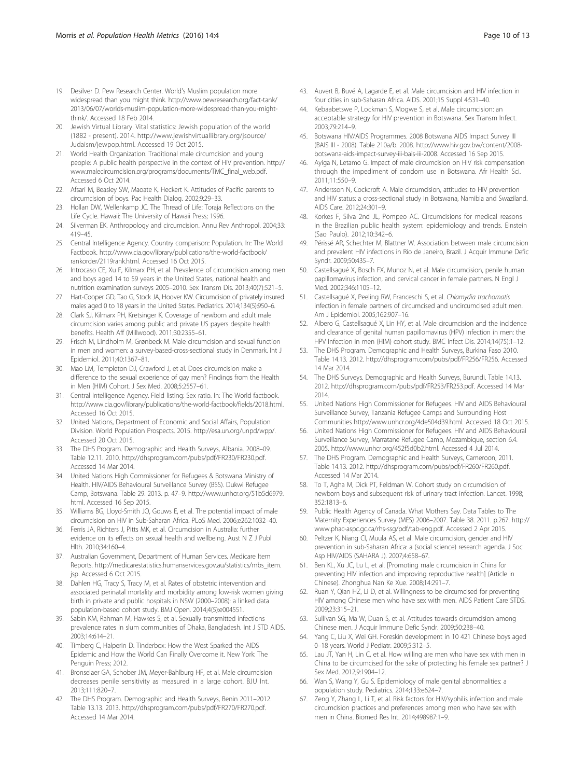- <span id="page-9-0"></span>19. Desilver D. Pew Research Center. World's Muslim population more widespread than you might think. [http://www.pewresearch.org/fact-tank/](http://www.pewresearch.org/fact-tank/2013/06/07/worlds-muslim-population-more-widespread-than-you-might-think/) [2013/06/07/worlds-muslim-population-more-widespread-than-you-might](http://www.pewresearch.org/fact-tank/2013/06/07/worlds-muslim-population-more-widespread-than-you-might-think/)[think/](http://www.pewresearch.org/fact-tank/2013/06/07/worlds-muslim-population-more-widespread-than-you-might-think/). Accessed 18 Feb 2014.
- 20. Jewish Virtual Library. Vital statistics: Jewish population of the world (1882 - present). 2014. [http://www.jewishvirtuallibrary.org/jsource/](http://www.jewishvirtuallibrary.org/jsource/Judaism/jewpop.html) [Judaism/jewpop.html.](http://www.jewishvirtuallibrary.org/jsource/Judaism/jewpop.html) Accessed 19 Oct 2015.
- 21. World Health Organization. Traditional male circumcision and young people: A public health perspective in the context of HIV prevention. [http://](http://www.malecircumcision.org/programs/documents/TMC_final_web.pdf) [www.malecircumcision.org/programs/documents/TMC\\_final\\_web.pdf](http://www.malecircumcision.org/programs/documents/TMC_final_web.pdf). Accessed 6 Oct 2014.
- 22. Afsari M, Beasley SW, Maoate K, Heckert K. Attitudes of Pacific parents to circumcision of boys. Pac Health Dialog. 2002;9:29–33.
- 23. Hollan DW, Wellenkamp JC. The Thread of Life: Toraja Reflections on the Life Cycle. Hawaii: The University of Hawaii Press; 1996.
- 24. Silverman EK. Anthropology and circumcision. Annu Rev Anthropol. 2004;33: 419–45.
- 25. Central Intelligence Agency. Country comparison: Population. In: The World Factbook. [http://www.cia.gov/library/publications/the-world-factbook/](http://www.cia.gov/library/publications/the-world-factbook/rankorder/2119rank.html) [rankorder/2119rank.html](http://www.cia.gov/library/publications/the-world-factbook/rankorder/2119rank.html). Accessed 16 Oct 2015.
- 26. Introcaso CE, Xu F, Kilmarx PH, et al. Prevalence of circumcision among men and boys aged 14 to 59 years in the United States, national health and nutrition examination surveys 2005–2010. Sex Transm Dis. 2013;40(7):521–5.
- 27. Hart-Cooper GD, Tao G, Stock JA, Hoover KW. Circumcision of privately insured males aged 0 to 18 years in the United States. Pediatrics. 2014;134(5):950–6.
- 28. Clark SJ, Kilmarx PH, Kretsinger K. Coverage of newborn and adult male circumcision varies among public and private US payers despite health benefits. Health Aff (Millwood). 2011;30:2355–61.
- 29. Frisch M, Lindholm M, Grønbeck M. Male circumcision and sexual function in men and women: a survey-based-cross-sectional study in Denmark. Int J Epidemiol. 2011;40:1367–81.
- 30. Mao LM, Templeton DJ, Crawford J, et al. Does circumcision make a difference to the sexual experience of gay men? Findings from the Health in Men (HIM) Cohort. J Sex Med. 2008;5:2557–61.
- 31. Central Intelligence Agency. Field listing: Sex ratio. In: The World factbook. <http://www.cia.gov/library/publications/the-world-factbook/fields/2018.html>. Accessed 16 Oct 2015.
- 32. United Nations, Department of Economic and Social Affairs, Population Division. World Population Prospects. 2015.<http://esa.un.org/unpd/wpp/>. Accessed 20 Oct 2015.
- 33. The DHS Program. Demographic and Health Surveys, Albania. 2008–09. Table 12.11. 2010.<http://dhsprogram.com/pubs/pdf/FR230/FR230.pdf>. Accessed 14 Mar 2014.
- 34. United Nations High Commissioner for Refugees & Botswana Ministry of Health. HIV/AIDS Behavioural Surveillance Survey (BSS). Dukwi Refugee Camp, Botswana. Table 29. 2013. p. 47–9. [http://www.unhcr.org/51b5d6979.](http://www.unhcr.org/51b5d6979.html) [html.](http://www.unhcr.org/51b5d6979.html) Accessed 16 Sep 2015.
- 35. Williams BG, Lloyd-Smith JO, Gouws E, et al. The potential impact of male circumcision on HIV in Sub-Saharan Africa. PLoS Med. 2006;e262:1032–40.
- 36. Ferris JA, Richters J, Pitts MK, et al. Circumcision in Australia: further evidence on its effects on sexual health and wellbeing. Aust N Z J Publ Hlth. 2010;34:160–4.
- 37. Australian Government, Department of Human Services. Medicare Item Reports. [http://medicarestatistics.humanservices.gov.au/statistics/mbs\\_item.](http://medicarestatistics.humanservices.gov.au/statistics/mbs_item.jsp) [jsp.](http://medicarestatistics.humanservices.gov.au/statistics/mbs_item.jsp) Accessed 6 Oct 2015.
- 38. Dahlen HG, Tracy S, Tracy M, et al. Rates of obstetric intervention and associated perinatal mortality and morbidity among low-risk women giving birth in private and public hospitals in NSW (2000–2008): a linked data population-based cohort study. BMJ Open. 2014;4(5):e004551.
- 39. Sabin KM, Rahman M, Hawkes S, et al. Sexually transmitted infections prevalence rates in slum communities of Dhaka, Bangladesh. Int J STD AIDS. 2003;14:614–21.
- 40. Timberg C, Halperin D. Tinderbox: How the West Sparked the AIDS Epidemic and How the World Can Finally Overcome it. New York: The Penguin Press; 2012.
- 41. Bronselaer GA, Schober JM, Meyer-Bahlburg HF, et al. Male circumcision decreases penile sensitivity as measured in a large cohort. BJU Int. 2013;111:820–7.
- 42. The DHS Program. Demographic and Health Surveys, Benin 2011–2012. Table 13.13. 2013.<http://dhsprogram.com/pubs/pdf/FR270/FR270.pdf>. Accessed 14 Mar 2014.
- 43. Auvert B, Buvé A, Lagarde E, et al. Male circumcision and HIV infection in four cities in sub-Saharan Africa. AIDS. 2001;15 Suppl 4:S31–40.
- 44. Kebaabetswe P, Lockman S, Mogwe S, et al. Male circumcision: an acceptable strategy for HIV prevention in Botswana. Sex Transm Infect. 2003;79:214–9.
- 45. Botswana HIV/AIDS Programmes. 2008 Botswana AIDS Impact Survey III (BAIS III - 2008). Table 210a/b. 2008. [http://www.hiv.gov.bw/content/2008](http://www.hiv.gov.bw/content/2008-botswana-aids-impact-survey-iii-bais-iii-2008) [botswana-aids-impact-survey-iii-bais-iii-2008](http://www.hiv.gov.bw/content/2008-botswana-aids-impact-survey-iii-bais-iii-2008). Accessed 16 Sep 2015.
- 46. Ayiga N, Letamo G. Impact of male circumcision on HIV risk compensation through the impediment of condom use in Botswana. Afr Health Sci. 2011;11:550–9.
- 47. Andersson N, Cockcroft A. Male circumcision, attitudes to HIV prevention and HIV status: a cross-sectional study in Botswana, Namibia and Swaziland. AIDS Care. 2012;24:301–9.
- 48. Korkes F, Silva 2nd JL, Pompeo AC. Circumcisions for medical reasons in the Brazilian public health system: epidemiology and trends. Einstein (Sao Paulo). 2012;10:342–6.
- 49. Périssé AR, Schechter M, Blattner W. Association between male circumcision and prevalent HIV infections in Rio de Janeiro, Brazil. J Acquir Immune Defic Syndr. 2009;50:435–7.
- 50. Castellsagué X, Bosch FX, Munoz N, et al. Male circumcision, penile human papillomavirus infection, and cervical cancer in female partners. N Engl J Med. 2002;346:1105–12.
- 51. Castellsagué X, Peeling RW, Franceschi S, et al. Chlamydia trachomatis infection in female partners of circumcised and uncircumcised adult men. Am J Epidemiol. 2005;162:907–16.
- 52. Albero G, Castellsagué X, Lin HY, et al. Male circumcision and the incidence and clearance of genital human papillomavirus (HPV) infection in men: the HPV Infection in men (HIM) cohort study. BMC Infect Dis. 2014;14(75):1–12.
- 53. The DHS Program. Demographic and Health Surveys, Burkina Faso 2010. Table 14.13. 2012.<http://dhsprogram.com/pubs/pdf/FR256/FR256>. Accessed 14 Mar 2014.
- 54. The DHS Surveys. Demographic and Health Surveys, Burundi. Table 14.13. 2012. [http://dhsprogram.com/pubs/pdf/FR253/FR253.pdf.](http://dhsprogram.com/pubs/pdf/FR253/FR253.pdf) Accessed 14 Mar 2014.
- 55. United Nations High Commissioner for Refugees. HIV and AIDS Behavioural Surveillance Survey, Tanzania Refugee Camps and Surrounding Host Communities<http://www.unhcr.org/4de504d39.html>. Accessed 18 Oct 2015.
- 56. United Nations High Commissioner for Refugees. HIV and AIDS Behavioural Surveillance Survey, Marratane Refugee Camp, Mozambique, section 6.4. 2005. [http://www.unhcr.org/452f5d0b2.html.](http://www.unhcr.org/452f5d0b2.html) Accessed 4 Jul 2014.
- 57. The DHS Program. Demographic and Health Surveys, Cameroon, 2011. Table 14.13. 2012.<http://dhsprogram.com/pubs/pdf/FR260/FR260.pdf>. Accessed 14 Mar 2014.
- 58. To T, Agha M, Dick PT, Feldman W. Cohort study on circumcision of newborn boys and subsequent risk of urinary tract infection. Lancet. 1998; 352:1813–6.
- 59. Public Health Agency of Canada. What Mothers Say. Data Tables to The Maternity Experiences Survey (MES) 2006–2007. Table 38. 2011. p.267. [http://](http://www.phac-aspc.gc.ca/rhs-ssg/pdf/tab-eng.pdf) [www.phac-aspc.gc.ca/rhs-ssg/pdf/tab-eng.pdf](http://www.phac-aspc.gc.ca/rhs-ssg/pdf/tab-eng.pdf). Accessed 2 Apr 2015.
- 60. Peltzer K, Niang CI, Muula AS, et al. Male circumcision, gender and HIV prevention in sub-Saharan Africa: a (social science) research agenda. J Soc Asp HIV/AIDS (SAHARA J). 2007;4:658–67.
- 61. Ben KL, Xu JC, Lu L, et al. [Promoting male circumcision in China for preventing HIV infection and improving reproductive health] (Article in Chinese). Zhonghua Nan Ke Xue. 2008;14:291–7.
- 62. Ruan Y, Qian HZ, Li D, et al. Willingness to be circumcised for preventing HIV among Chinese men who have sex with men. AIDS Patient Care STDS. 2009;23:315–21.
- 63. Sullivan SG, Ma W, Duan S, et al. Attitudes towards circumcision among Chinese men. J Acquir Immune Defic Syndr. 2009;50:238–40.
- 64. Yang C, Liu X, Wei GH. Foreskin development in 10 421 Chinese boys aged 0–18 years. World J Pediatr. 2009;5:312–5.
- 65. Lau JT, Yan H, Lin C, et al. How willing are men who have sex with men in China to be circumcised for the sake of protecting his female sex partner? J Sex Med. 2012;9:1904–12.
- 66. Wan S, Wang Y, Gu S. Epidemiology of male genital abnormalities: a population study. Pediatrics. 2014;133:e624–7.
- 67. Zeng Y, Zhang L, Li T, et al. Risk factors for HIV/syphilis infection and male circumcision practices and preferences among men who have sex with men in China. Biomed Res Int. 2014;498987:1–9.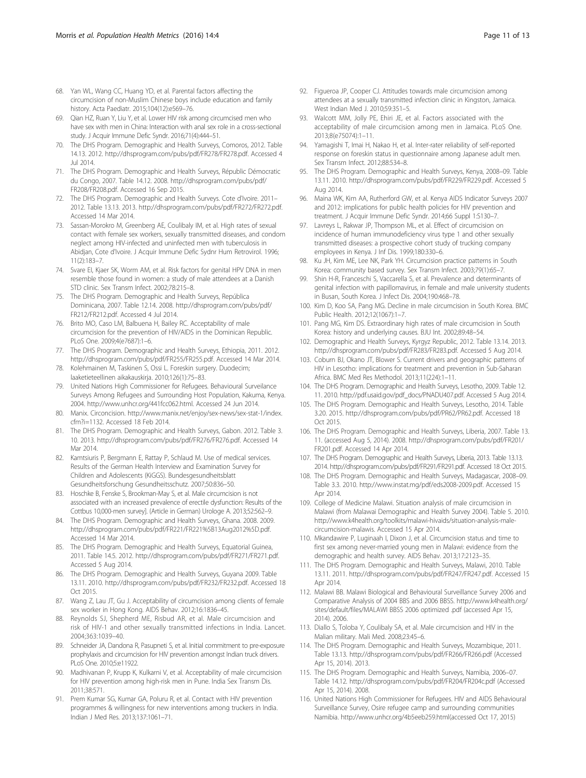- <span id="page-10-0"></span>68. Yan WL, Wang CC, Huang YD, et al. Parental factors affecting the circumcision of non-Muslim Chinese boys include education and family history. Acta Paediatr. 2015;104(12):e569–76.
- 69. Qian HZ, Ruan Y, Liu Y, et al. Lower HIV risk among circumcised men who have sex with men in China: Interaction with anal sex role in a cross-sectional study. J Acquir Immune Defic Syndr. 2016;71(4):444–51.
- 70. The DHS Program. Demographic and Health Surveys, Comoros, 2012. Table 14.13. 2012. [http://dhsprogram.com/pubs/pdf/FR278/FR278.pdf.](http://dhsprogram.com/pubs/pdf/FR278/FR278.pdf) Accessed 4 Jul 2014.
- 71. The DHS Program. Demographic and Health Surveys, Républic Démocratic du Congo, 2007. Table 14.12. 2008. [http://dhsprogram.com/pubs/pdf/](http://dhsprogram.com/pubs/pdf/FR208/FR208.pdf) [FR208/FR208.pdf](http://dhsprogram.com/pubs/pdf/FR208/FR208.pdf). Accessed 16 Sep 2015.
- 72. The DHS Program. Demographic and Health Surveys. Cote d'Ivoire. 2011– 2012. Table 13.13. 2013.<http://dhsprogram.com/pubs/pdf/FR272/FR272.pdf>. Accessed 14 Mar 2014.
- 73. Sassan-Morokro M, Greenberg AE, Coulibaly IM, et al. High rates of sexual contact with female sex workers, sexually transmitted diseases, and condom neglect among HIV-infected and uninfected men with tuberculosis in Abidjan, Cote d'Ivoire. J Acquir Immune Defic Sydnr Hum Retrovirol. 1996; 11(2):183–7.
- 74. Svare EI, Kjaer SK, Worm AM, et al. Risk factors for genital HPV DNA in men resemble those found in women: a study of male attendees at a Danish STD clinic. Sex Transm Infect. 2002;78:215–8.
- 75. The DHS Program. Demographic and Health Surveys, República Dominicana, 2007. Table 12.14. 2008. [http://dhsprogram.com/pubs/pdf/](http://dhsprogram.com/pubs/pdf/FR212/FR212.pdf) [FR212/FR212.pdf](http://dhsprogram.com/pubs/pdf/FR212/FR212.pdf). Accessed 4 Jul 2014.
- 76. Brito MO, Caso LM, Balbuena H, Bailey RC. Acceptability of male circumcision for the prevention of HIV/AIDS in the Dominican Republic. PLoS One. 2009;4(e7687):1–6.
- 77. The DHS Program. Demographic and Health Surveys, Ethiopia, 2011. 2012. [http://dhsprogram.com/pubs/pdf/FR255/FR255.pdf.](http://dhsprogram.com/pubs/pdf/FR255/FR255.pdf) Accessed 14 Mar 2014.
- 78. Kolehmainen M, Taskinen S, Ossi L. Foreskin surgery. Duodecim; laaketieteellinen aikakauskirja. 2010;126(1):75–83.
- 79. United Nations High Commissioner for Refugees. Behavioural Surveilance Surveys Among Refugees and Surrounding Host Population, Kakuma, Kenya. 2004. [http://www.unhcr.org/441fcc062.html.](http://www.unhcr.org/441fcc062.html) Accessed 24 Jun 2014.
- 80. Manix. Circoncision. [http://www.manix.net/enjoy/sex-news/sex-stat-1/index.](http://www.manix.net/enjoy/sex-news/sex-stat-1/index.cfm?i=1132) [cfm?i=1132](http://www.manix.net/enjoy/sex-news/sex-stat-1/index.cfm?i=1132). Accessed 18 Feb 2014.
- 81. The DHS Program. Demographic and Health Surveys, Gabon. 2012. Table 3. 10. 2013. [http://dhsprogram.com/pubs/pdf/FR276/FR276.pdf.](http://dhsprogram.com/pubs/pdf/FR276/FR276.pdf) Accessed 14 Mar 2014.
- 82. Kamtsiuris P, Bergmann E, Rattay P, Schlaud M. Use of medical services. Results of the German Health Interview and Examination Survey for Children and Adolescents (KiGGS). Bundesgesundheitsblatt Gesundheitsforschung Gesundheitsschutz. 2007;50:836–50.
- 83. Hoschke B, Fenske S, Brookman-May S, et al. Male circumcision is not associated with an increased prevalence of erectile dysfunction: Results of the Cottbus 10,000-men survey]. (Article in German) Urologe A. 2013;52:562–9.
- 84. The DHS Program. Demographic and Health Surveys, Ghana. 2008. 2009. <http://dhsprogram.com/pubs/pdf/FR221/FR221%5B13Aug2012%5D.pdf>. Accessed 14 Mar 2014.
- 85. The DHS Program. Demographic and Health Surveys, Equatorial Guinea, 2011. Table 14.5. 2012. [http://dhsprogram.com/pubs/pdf/FR271/FR271.pdf.](http://dhsprogram.com/pubs/pdf/FR271/FR271.pdf) Accessed 5 Aug 2014.
- 86. The DHS Program. Demographic and Health Surveys, Guyana 2009. Table 13.11. 2010. [http://dhsprogram.com/pubs/pdf/FR232/FR232.pdf.](http://dhsprogram.com/pubs/pdf/FR232/FR232.pdf) Accessed 18 Oct 2015.
- 87. Wang Z, Lau JT, Gu J. Acceptability of circumcision among clients of female sex worker in Hong Kong. AIDS Behav. 2012;16:1836–45.
- 88. Reynolds SJ, Shepherd ME, Risbud AR, et al. Male circumcision and risk of HIV-1 and other sexually transmitted infections in India. Lancet. 2004;363:1039–40.
- 89. Schneider JA, Dandona R, Pasupneti S, et al. Initial commitment to pre-exposure prophylaxis and circumcision for HIV prevention amongst Indian truck drivers. PLoS One. 2010;5:e11922.
- 90. Madhivanan P, Krupp K, Kulkarni V, et al. Acceptability of male circumcision for HIV prevention among high-risk men in Pune. India Sex Transm Dis. 2011;38:571.
- 91. Prem Kumar SG, Kumar GA, Poluru R, et al. Contact with HIV prevention programmes & willingness for new interventions among truckers in India. Indian J Med Res. 2013;137:1061–71.
- 92. Figueroa JP, Cooper CJ. Attitudes towards male circumcision among attendees at a sexually transmitted infection clinic in Kingston, Jamaica. West Indian Med J. 2010;59:351–5.
- 93. Walcott MM, Jolly PE, Ehiri JE, et al. Factors associated with the acceptability of male circumcision among men in Jamaica. PLoS One. 2013;8(e75074):1–11.
- 94. Yamagishi T, Imai H, Nakao H, et al. Inter-rater reliability of self-reported response on foreskin status in questionnaire among Japanese adult men. Sex Transm Infect. 2012;88:534–8.
- 95. The DHS Program. Demographic and Health Surveys, Kenya, 2008–09. Table 13.11. 2010. [http://dhsprogram.com/pubs/pdf/FR229/FR229.pdf.](http://dhsprogram.com/pubs/pdf/FR229/FR229.pdf) Accessed 5 Aug 2014.
- 96. Maina WK, Kim AA, Rutherford GW, et al. Kenya AIDS Indicator Surveys 2007 and 2012: implications for public health policies for HIV prevention and treatment. J Acquir Immune Defic Syndr. 2014;66 Suppl 1:S130–7.
- 97. Lavreys L, Rakwar JP, Thompson ML, et al. Effect of circumcision on incidence of human immunodeficiency virus type 1 and other sexually transmitted diseases: a prospective cohort study of trucking company employees in Kenya. J Inf Dis. 1999;180:330–6.
- 98. Ku JH, Kim ME, Lee NK, Park YH. Circumcision practice patterns in South Korea: community based survey. Sex Transm Infect. 2003;79(1):65–7.
- 99. Shin H-R, Franceschi S, Vaccarella S, et al. Prevalence and determinants of genital infection with papillomavirus, in female and male university students in Busan, South Korea. J Infect Dis. 2004;190:468–78.
- 100. Kim D, Koo SA, Pang MG. Decline in male circumcision in South Korea. BMC Public Health. 2012;12(1067):1–7.
- 101. Pang MG, Kim DS. Extraordinary high rates of male circumcision in South Korea: history and underlying causes. BJU Int. 2002;89:48–54.
- 102. Demographic and Health Surveys, Kyrgyz Republic, 2012. Table 13.14. 2013. [http://dhsprogram.com/pubs/pdf/FR283/FR283.pdf.](http://dhsprogram.com/pubs/pdf/FR283/FR283.pdf) Accessed 5 Aug 2014.
- 103. Coburn BJ, Okano JT, Blower S. Current drivers and geographic patterns of HIV in Lesotho: implications for treatment and prevention in Sub-Saharan Africa. BMC Med Res Methodol. 2013;11(224):1–11.
- 104. The DHS Program. Demographic and Health Surveys, Lesotho, 2009. Table 12. 11. 2010. [http://pdf.usaid.gov/pdf\\_docs/PNADU407.pdf](http://pdf.usaid.gov/pdf_docs/PNADU407.pdf). Accessed 5 Aug 2014.
- 105. The DHS Program. Demographic and Health Surveys, Lesotho, 2014. Table 3.20. 2015.<http://dhsprogram.com/pubs/pdf/PR62/PR62.pdf>. Accessed 18 Oct 2015.
- 106. The DHS Program. Demographic and Health Surveys, Liberia, 2007. Table 13. 11. (accessed Aug 5, 2014). 2008. [http://dhsprogram.com/pubs/pdf/FR201/](http://dhsprogram.com/pubs/pdf/FR201/FR201.pdf) [FR201.pdf.](http://dhsprogram.com/pubs/pdf/FR201/FR201.pdf) Accessed 14 Apr 2014.
- 107. The DHS Program. Demographic and Health Surveys, Liberia, 2013. Table 13.13. 2014. [http://dhsprogram.com/pubs/pdf/FR291/FR291.pdf.](http://dhsprogram.com/pubs/pdf/FR291/FR291.pdf) Accessed 18 Oct 2015.
- 108. The DHS Program. Demographic and Health Surveys, Madagascar, 2008–09. Table 3.3. 2010. [http://www.instat.mg/pdf/eds2008-2009.pdf.](http://www.instat.mg/pdf/eds2008-2009.pdf) Accessed 15 Apr 2014.
- 109. College of Medicine Malawi. Situation analysis of male circumcision in Malawi (from Malawai Demographic and Health Survey 2004). Table 5. 2010. [http://www.k4health.org/toolkits/malawi-hivaids/situation-analysis-male](http://www.k4health.org/toolkits/malawi-hivaids/situation-analysis-male-circumcision-malawis)[circumcision-malawis](http://www.k4health.org/toolkits/malawi-hivaids/situation-analysis-male-circumcision-malawis). Accessed 15 Apr 2014.
- 110. Mkandawire P, Luginaah I, Dixon J, et al. Circumcision status and time to first sex among never-married young men in Malawi: evidence from the demographic and health survey. AIDS Behav. 2013;17:2123–35.
- 111. The DHS Program. Demographic and Health Surveys, Malawi, 2010. Table 13.11. 2011. [http://dhsprogram.com/pubs/pdf/FR247/FR247.pdf.](http://dhsprogram.com/pubs/pdf/FR247/FR247.pdf) Accessed 15 Apr 2014.
- 112. Malawi BB. Malawi Biological and Behavioural Surveillance Survey 2006 and Comparative Analysis of 2004 BBS and 2006 BBSS. [http://www.k4health.org/](http://www.k4health.org/sites/default/files/MALAWI) [sites/default/files/MALAWI](http://www.k4health.org/sites/default/files/MALAWI) BBSS 2006 optimized .pdf (accessed Apr 15, 2014). 2006.
- 113. Diallo S, Toloba Y, Coulibaly SA, et al. Male circumcision and HIV in the Malian military. Mali Med. 2008;23:45–6.
- 114. The DHS Program. Demographic and Health Surveys, Mozambique, 2011. Table 13.13.<http://dhsprogram.com/pubs/pdf/FR266/FR266.pdf> (Accessed Apr 15, 2014). 2013.
- 115. The DHS Program. Demographic and Health Surveys, Namibia, 2006–07. Table 14.12.<http://dhsprogram.com/pubs/pdf/FR204/FR204c.pdf> (Accessed Apr 15, 2014). 2008.
- 116. United Nations High Commissioner for Refugees. HIV and AIDS Behavioural Surveillance Survey, Osire refugee camp and surrounding communities Namibia. [http://www.unhcr.org/4b5eeb259.html\(](http://www.unhcr.org/4b5eeb259.html)accessed Oct 17, 2015)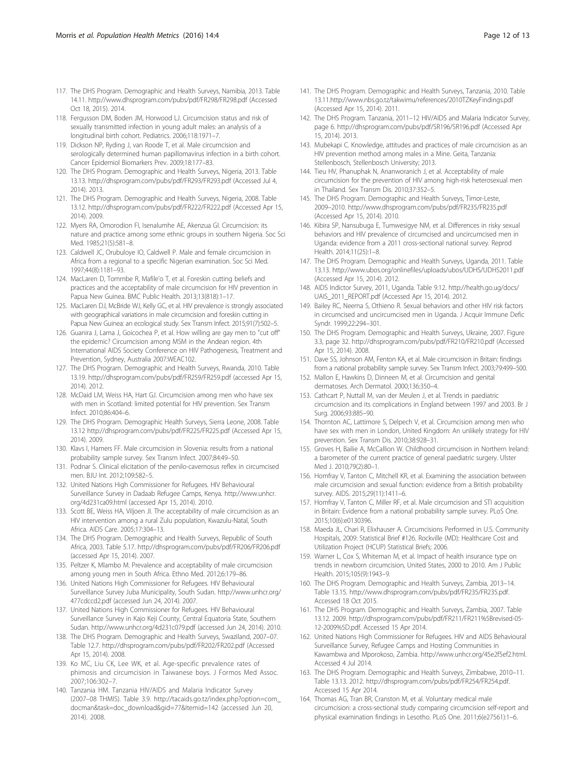- <span id="page-11-0"></span>117. The DHS Program. Demographic and Health Surveys, Namibia, 2013. Table 14.11.<http://www.dhsprogram.com/pubs/pdf/FR298/FR298.pdf> (Accessed Oct 18, 2015). 2014.
- 118. Fergusson DM, Boden JM, Horwood LJ. Circumcision status and risk of sexually transmitted infection in young adult males: an analysis of a longitudinal birth cohort. Pediatrics. 2006;118:1971–7.
- 119. Dickson NP, Ryding J, van Roode T, et al. Male circumcision and serologically determined human papillomavirus infection in a birth cohort. Cancer Epidemiol Biomarkers Prev. 2009;18:177–83.
- 120. The DHS Program. Demographic and Health Surveys, Nigeria, 2013. Table 13.13.<http://dhsprogram.com/pubs/pdf/FR293/FR293.pdf> (Accessed Jul 4, 2014). 2013.
- 121. The DHS Program. Demographic and Health Surveys, Nigeria, 2008. Table 13.12.<http://dhsprogram.com/pubs/pdf/FR222/FR222.pdf> (Accessed Apr 15, 2014). 2009.
- 122. Myers RA, Omorodion FI, Isenalumhe AE, Akenzua GI. Circumcision: its nature and practice among some ethnic groups in southern Nigeria. Soc Sci Med. 1985;21(5):581–8.
- 123. Caldwell JC, Orubuloye IO, Caldwell P. Male and female circumcision in Africa from a regional to a specific Nigerian examination. Soc Sci Med. 1997;44(8):1181–93.
- 124. MacLaren D, Tommbe R, Mafile'o T, et al. Foreskin cutting beliefs and practices and the acceptability of male circumcision for HIV prevention in Papua New Guinea. BMC Public Health. 2013;13(818):1–17.
- 125. MacLaren DJ, McBride WJ, Kelly GC, et al. HIV prevalence is strongly associated with geographical variations in male circumcision and foreskin cutting in Papua New Guinea: an ecological study. Sex Transm Infect. 2015;91(7):502–5.
- 126. Guanira J, Lama J, Goicochea P, et al. How willing are gay men to "cut off" the epidemic? Circumcision among MSM in the Andean region. 4th International AIDS Society Conference on HIV Pathogenesis, Treatment and Prevention, Sydney, Australia 2007:WEAC102.
- 127. The DHS Program. Demographic and Health Surveys, Rwanda, 2010. Table 13.19.<http://dhsprogram.com/pubs/pdf/FR259/FR259.pdf> (accessed Apr 15, 2014). 2012.
- 128. McDaid LM, Weiss HA, Hart GJ. Circumcision among men who have sex with men in Scotland: limited potential for HIV prevention. Sex Transm Infect. 2010;86:404–6.
- 129. The DHS Program. Demographic Health Surveys, Sierra Leone, 2008. Table 13.12<http://dhsprogram.com/pubs/pdf/FR225/FR225.pdf> (Accessed Apr 15, 2014). 2009.
- 130. Klavs I, Hamers FF. Male circumcision in Slovenia: results from a national probability sample survey. Sex Transm Infect. 2007;84:49–50.
- 131. Podnar S. Clinical elicitation of the penilo-cavernosus reflex in circumcised men. BJU Int. 2012;109:582–5.
- 132. United Nations High Commissioner for Refugees. HIV Behavioural Surveillance Survey in Dadaab Refugee Camps, Kenya. [http://www.unhcr.](http://www.unhcr.org/4d231ca09.html) [org/4d231ca09.html](http://www.unhcr.org/4d231ca09.html) (accessed Apr 15, 2014). 2010.
- 133. Scott BE, Weiss HA, Viljoen JI. The acceptability of male circumcision as an HIV intervention among a rural Zulu population, Kwazulu-Natal, South Africa. AIDS Care. 2005;17:304–13.
- 134. The DHS Program. Demographic and Health Surveys, Republic of South Africa, 2003. Table 5.17.<http://dhsprogram.com/pubs/pdf/FR206/FR206.pdf> (accessed Apr 15, 2014). 2007.
- 135. Peltzer K, Mlambo M. Prevalence and acceptability of male circumcision among young men in South Africa. Ethno Med. 2012;6:179–86.
- 136. United Nations High Commissioner for Refugees. HIV Behavioural Surveillance Survey Juba Municipality, South Sudan. [http://www.unhcr.org/](http://www.unhcr.org/477cdccd2.pdf) [477cdccd2.pdf](http://www.unhcr.org/477cdccd2.pdf) (accessed Jun 24, 2014). 2007.
- 137. United Nations High Commissioner for Refugees. HIV Behavioural Surveillance Survey in Kajo Keji County, Central Equatoria State, Southern Sudan.<http://www.unhcr.org/4d231c079.pdf> (accessed Jun 24, 2014). 2010.
- 138. The DHS Program. Demographic and Health Surveys, Swaziland, 2007–07. Table 12.7.<http://dhsprogram.com/pubs/pdf/FR202/FR202.pdf> (Accessed Apr 15, 2014). 2008.
- 139. Ko MC, Liu CK, Lee WK, et al. Age-specific prevalence rates of phimosis and circumcision in Taiwanese boys. J Formos Med Assoc. 2007;106:302–7.
- 140. Tanzania HM. Tanzania HIV/AIDS and Malaria Indicator Survey (2007–08 THMIS). Table 3.9. [http://tacaids.go.tz/index.php?option=com\\_](http://tacaids.go.tz/index.php?option=com_docman&task=doc_download&gid=77&Itemid=142) [docman&task=doc\\_download&gid=77&Itemid=142](http://tacaids.go.tz/index.php?option=com_docman&task=doc_download&gid=77&Itemid=142) (accessed Jun 20, 2014). 2008.
- 141. The DHS Program. Demographic and Health Surveys, Tanzania, 2010. Table 13.11.<http://www.nbs.go.tz/takwimu/references/2010TZKeyFindings.pdf> (Accessed Apr 15, 2014). 2011.
- 142. The DHS Program. Tanzania, 2011–12 HIV/AIDS and Malaria Indicator Survey, page 6.<http://dhsprogram.com/pubs/pdf/SR196/SR196.pdf> (Accessed Apr 15, 2014). 2013.
- 143. Mubekapi C. Knowledge, attitudes and practices of male circumcision as an HIV prevention method among males in a Mine. Geita, Tanzania: Stellenbosch, Stellenbosch University; 2013.
- 144. Tieu HV, Phanuphak N, Ananworanich J, et al. Acceptability of male circumcision for the prevention of HIV among high-risk heterosexual men in Thailand. Sex Transm Dis. 2010;37:352–5.
- 145. The DHS Program. Demographic and Health Surveys, Timor-Leste, 2009–2010.<http://www.dhsprogram.com/pubs/pdf/FR235/FR235.pdf> (Accessed Apr 15, 2014). 2010.
- 146. Kibira SP, Nansubuga E, Tumwesigye NM, et al. Differences in risky sexual behaviors and HIV prevalence of circumcised and uncircumcised men in Uganda: evidence from a 2011 cross-sectional national survey. Reprod Health. 2014;11(25):1–8.
- 147. The DHS Program. Demographic and Health Surveys, Uganda, 2011. Table 13.13.<http://www.ubos.org/onlinefiles/uploads/ubos/UDHS/UDHS2011.pdf> (Accessed Apr 15, 2014). 2012.
- 148. AIDS Indictor Survey, 2011, Uganda. Table 9.12. [http://health.go.ug/docs/](http://health.go.ug/docs/UAIS_2011_REPORT.pdf) [UAIS\\_2011\\_REPORT.pdf](http://health.go.ug/docs/UAIS_2011_REPORT.pdf) (Accessed Apr 15, 2014). 2012.
- 149. Bailey RC, Neema S, Othieno R. Sexual behaviors and other HIV risk factors in circumcised and uncircumcised men in Uganda. J Acquir Immune Defic Syndr. 1999;22:294–301.
- 150. The DHS Program. Demographic and Health Surveys, Ukraine, 2007. Figure 3.3, page 32.<http://dhsprogram.com/pubs/pdf/FR210/FR210.pdf> (Accessed Apr 15, 2014). 2008.
- 151. Dave SS, Johnson AM, Fenton KA, et al. Male circumcision in Britain: findings from a national probability sample survey. Sex Transm Infect. 2003;79:499–500.
- 152. Mallon E, Hawkins D, Dinneen M, et al. Circumcision and genital dermatoses. Arch Dermatol. 2000;136:350–4.
- 153. Cathcart P, Nuttall M, van der Meulen J, et al. Trends in paediatric circumcision and its complications in England between 1997 and 2003. Br J Surg. 2006;93:885–90.
- 154. Thornton AC, Lattimore S, Delpech V, et al. Circumcision among men who have sex with men in London, United Kingdom: An unlikely strategy for HIV prevention. Sex Transm Dis. 2010;38:928–31.
- 155. Groves H, Bailie A, McCallion W. Childhood circumcision in Northern Ireland: a barometer of the current practice of general paediatric surgery. Ulster Med J. 2010;79(2):80–1.
- 156. Homfray V, Tanton C, Mitchell KR, et al. Examining the association between male circumcision and sexual function: evidence from a British probability survey. AIDS. 2015;29(11):1411–6.
- 157. Homfray V, Tanton C, Miller RF, et al. Male circumcision and STI acquisition in Britain: Evidence from a national probability sample survey. PLoS One. 2015;10(6):e0130396.
- 158. Maeda JL, Chari R, Elixhauser A. Circumcisions Performed in U.S. Community Hospitals, 2009: Statistical Brief #126. Rockville (MD): Healthcare Cost and Utilization Project (HCUP) Statistical Briefs; 2006.
- 159. Warner L, Cox S, Whiteman M, et al. Impact of health insurance type on trends in newborn circumcision, United States, 2000 to 2010. Am J Public Health. 2015;105(9):1943–9.
- 160. The DHS Program. Demographic and Health Surveys, Zambia, 2013–14. Table 13.15. [http://www.dhsprogram.com/pubs/pdf/FR235/FR235.pdf.](http://www.dhsprogram.com/pubs/pdf/FR235/FR235.pdf) Accessed 18 Oct 2015.
- 161. The DHS Program. Demographic and Health Surveys, Zambia, 2007. Table 13.12. 2009. [http://dhsprogram.com/pubs/pdf/FR211/FR211%5Brevised-05-](http://dhsprogram.com/pubs/pdf/FR211/FR211%5Brevised-05-12-2009%5D.pdf) [12-2009%5D.pdf](http://dhsprogram.com/pubs/pdf/FR211/FR211%5Brevised-05-12-2009%5D.pdf). Accessed 15 Apr 2014.
- 162. United Nations High Commissioner for Refugees. HIV and AIDS Behavioural Surveillance Survey, Refugee Camps and Hosting Communities in Kawambwa and Mporokoso, Zambia.<http://www.unhcr.org/45e2f5ef2.html>. Accessed 4 Jul 2014.
- 163. The DHS Program. Demographic and Health Surveys, Zimbabwe, 2010–11. Table 13.13. 2012.<http://dhsprogram.com/pubs/pdf/FR254/FR254.pdf>. Accessed 15 Apr 2014.
- 164. Thomas AG, Tran BR, Cranston M, et al. Voluntary medical male circumcision: a cross-sectional study comparing circumcision self-report and physical examination findings in Lesotho. PLoS One. 2011;6(e27561):1–6.